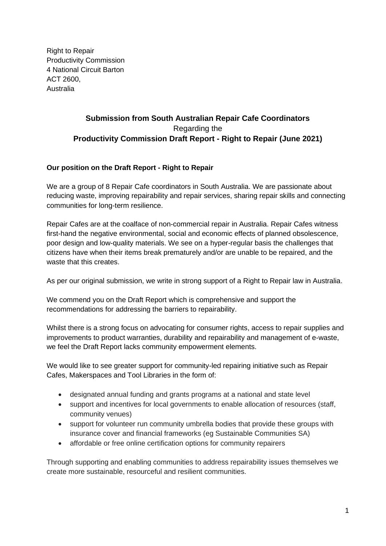Right to Repair Productivity Commission 4 National Circuit Barton ACT 2600, Australia

# **Submission from South Australian Repair Cafe Coordinators**  Regarding the **Productivity Commission Draft Report - Right to Repair (June 2021)**

## **Our position on the Draft Report - Right to Repair**

We are a group of 8 Repair Cafe coordinators in South Australia. We are passionate about reducing waste, improving repairability and repair services, sharing repair skills and connecting communities for long-term resilience.

Repair Cafes are at the coalface of non-commercial repair in Australia. Repair Cafes witness first-hand the negative environmental, social and economic effects of planned obsolescence, poor design and low-quality materials. We see on a hyper-regular basis the challenges that citizens have when their items break prematurely and/or are unable to be repaired, and the waste that this creates.

As per our original submission, we write in strong support of a Right to Repair law in Australia.

We commend you on the Draft Report which is comprehensive and support the recommendations for addressing the barriers to repairability.

Whilst there is a strong focus on advocating for consumer rights, access to repair supplies and improvements to product warranties, durability and repairability and management of e-waste, we feel the Draft Report lacks community empowerment elements.

We would like to see greater support for community-led repairing initiative such as Repair Cafes, Makerspaces and Tool Libraries in the form of:

- designated annual funding and grants programs at a national and state level
- support and incentives for local governments to enable allocation of resources (staff, community venues)
- support for volunteer run community umbrella bodies that provide these groups with insurance cover and financial frameworks (eg Sustainable Communities SA)
- affordable or free online certification options for community repairers

Through supporting and enabling communities to address repairability issues themselves we create more sustainable, resourceful and resilient communities.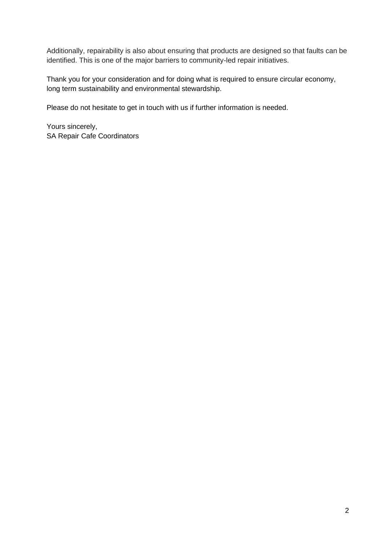Additionally, repairability is also about ensuring that products are designed so that faults can be identified. This is one of the major barriers to community-led repair initiatives.

Thank you for your consideration and for doing what is required to ensure circular economy, long term sustainability and environmental stewardship.

Please do not hesitate to get in touch with us if further information is needed.

Yours sincerely, SA Repair Cafe Coordinators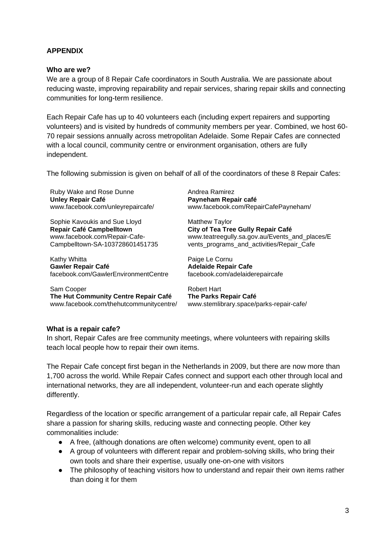## **APPENDIX**

#### **Who are we?**

We are a group of 8 Repair Cafe coordinators in South Australia. We are passionate about reducing waste, improving repairability and repair services, sharing repair skills and connecting communities for long-term resilience.

Each Repair Cafe has up to 40 volunteers each (including expert repairers and supporting volunteers) and is visited by hundreds of community members per year. Combined, we host 60- 70 repair sessions annually across metropolitan Adelaide. Some Repair Cafes are connected with a local council, community centre or environment organisation, others are fully independent.

The following submission is given on behalf of all of the coordinators of these 8 Repair Cafes:

Ruby Wake and Rose Dunne **Unley Repair Café**  www.facebook.com/unleyrepaircafe/

Sophie Kavoukis and Sue Lloyd **Repair Café Campbelltown** www.facebook.com/Repair-Cafe-Campbelltown-SA-103728601451735

Kathy Whitta **Gawler Repair Café** [facebook.com/GawlerEnvironmentCentre](https://www.facebook.com/GawlerEnvironmentCentre)

Sam Cooper **The Hut Community Centre Repair Café** www[.facebook.com/thehutcommunitycentre/](https://www.facebook.com/thehutcommunitycentre/) Andrea Ramirez **Payneham Repair café**  www.facebook.com/RepairCafePayneham/

Matthew Taylor **City of Tea Tree Gully Repair Café** www.teatreegully.sa.gov.au/Events\_and\_places/E vents\_programs\_and\_activities/Repair\_Cafe

Paige Le Cornu **Adelaide Repair Cafe** [facebook.com/adelaiderepaircafe](about:blank)

Robert Hart **The Parks Repair Café** www.stemlibrary.space/parks-repair-cafe/

#### **What is a repair cafe?**

In short, Repair Cafes are free community meetings, where volunteers with repairing skills teach local people how to repair their own items.

The Repair Cafe concept first began in the Netherlands in 2009, but there are now more than 1,700 across the world. While Repair Cafes connect and support each other through local and international networks, they are all independent, volunteer-run and each operate slightly differently.

Regardless of the location or specific arrangement of a particular repair cafe, all Repair Cafes share a passion for sharing skills, reducing waste and connecting people. Other key commonalities include:

- A free, (although donations are often welcome) community event, open to all
- A group of volunteers with different repair and problem-solving skills, who bring their own tools and share their expertise, usually one-on-one with visitors
- The philosophy of teaching visitors how to understand and repair their own items rather than doing it for them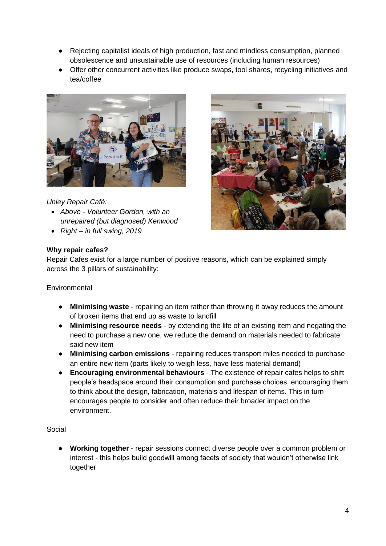- Rejecting capitalist ideals of high production, fast and mindless consumption, planned obsolescence and unsustainable use of resources (including human resources)
- Offer other concurrent activities like produce swaps, tool shares, recycling initiatives and tea/coffee



## *Unley Repair Café:*

- *Above - Volunteer Gordon, with an unrepaired (but diagnosed) Kenwood*
- *Right – in full swing, 2019*

### **Why repair cafes?**



Repair Cafes exist for a large number of positive reasons, which can be explained simply across the 3 pillars of sustainability:

#### **Environmental**

- **Minimising waste** repairing an item rather than throwing it away reduces the amount of broken items that end up as waste to landfill
- **Minimising resource needs** by extending the life of an existing item and negating the need to purchase a new one, we reduce the demand on materials needed to fabricate said new item
- **Minimising carbon emissions** repairing reduces transport miles needed to purchase an entire new item (parts likely to weigh less, have less material demand)
- **Encouraging environmental behaviours** The existence of repair cafes helps to shift people's headspace around their consumption and purchase choices, encouraging them to think about the design, fabrication, materials and lifespan of items. This in turn encourages people to consider and often reduce their broader impact on the environment.

Social

● **Working together** - repair sessions connect diverse people over a common problem or interest - this helps build goodwill among facets of society that wouldn't otherwise link together